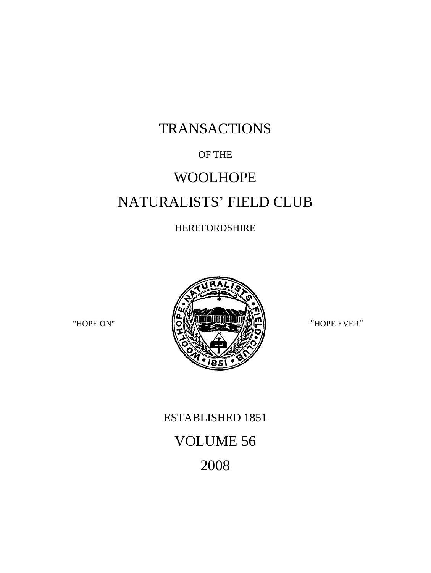## TRANSACTIONS

## OF THE

# WOOLHOPE NATURALISTS' FIELD CLUB

### HEREFORDSHIRE



## ESTABLISHED 1851 VOLUME 56 2008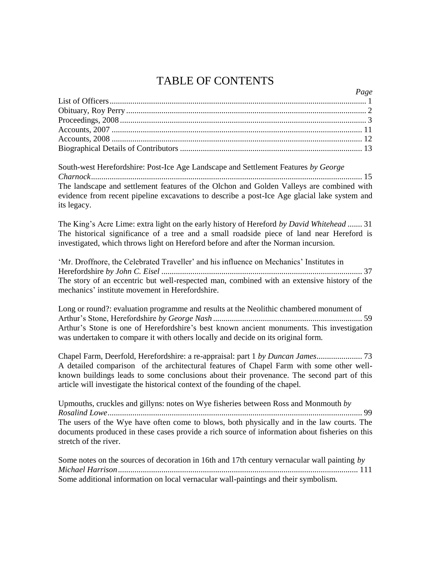## TABLE OF CONTENTS

*Page*

South-west Herefordshire: Post-Ice Age Landscape and Settlement Features *by George Charnock*................................................................................................................................... 15 The landscape and settlement features of the Olchon and Golden Valleys are combined with evidence from recent pipeline excavations to describe a post-Ice Age glacial lake system and its legacy.

The King's Acre Lime: extra light on the early history of Hereford *by David Whitehead* ....... 31 The historical significance of a tree and a small roadside piece of land near Hereford is investigated, which throws light on Hereford before and after the Norman incursion.

'Mr. Droffnore, the Celebrated Traveller' and his influence on Mechanics' Institutes in Herefordshire *by John C. Eisel* ................................................................................................. 37 The story of an eccentric but well-respected man, combined with an extensive history of the mechanics' institute movement in Herefordshire.

Long or round?: evaluation programme and results at the Neolithic chambered monument of Arthur's Stone, Herefordshire *by George Nash* ........................................................................ 59 Arthur's Stone is one of Herefordshire's best known ancient monuments. This investigation was undertaken to compare it with others locally and decide on its original form.

Chapel Farm, Deerfold, Herefordshire: a re-appraisal: part 1 *by Duncan James*...................... 73 A detailed comparison of the architectural features of Chapel Farm with some other wellknown buildings leads to some conclusions about their provenance. The second part of this article will investigate the historical context of the founding of the chapel.

Upmouths, cruckles and gillyns: notes on Wye fisheries between Ross and Monmouth *by Rosalind Lowe*........................................................................................................................... 99 The users of the Wye have often come to blows, both physically and in the law courts. The documents produced in these cases provide a rich source of information about fisheries on this stretch of the river.

Some notes on the sources of decoration in 16th and 17th century vernacular wall painting *by Michael Harrison*.................................................................................................................... 111 Some additional information on local vernacular wall-paintings and their symbolism.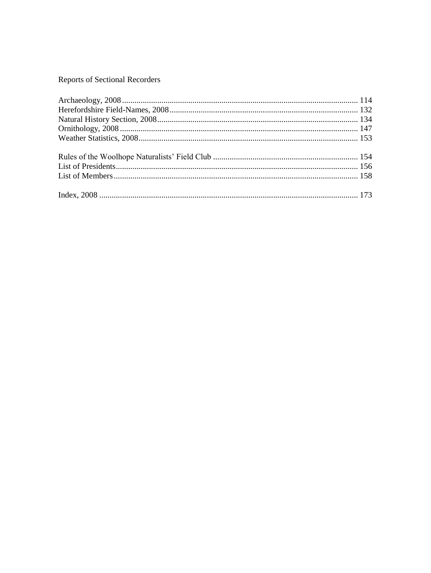#### Reports of Sectional Recorders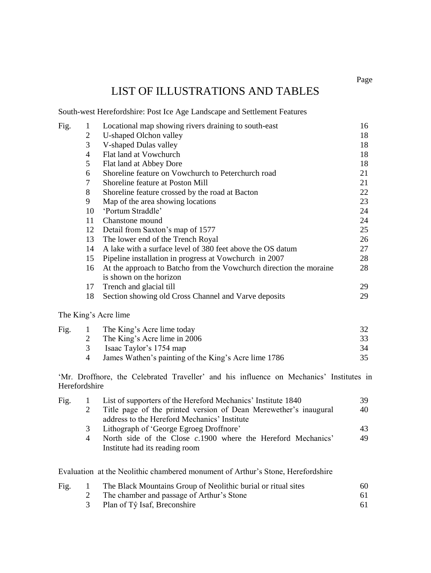## LIST OF ILLUSTRATIONS AND TABLES

South-west Herefordshire: Post Ice Age Landscape and Settlement Features

| Fig. |                | Locational map showing rivers draining to south-east               | 16 |
|------|----------------|--------------------------------------------------------------------|----|
|      | 2              | U-shaped Olchon valley                                             | 18 |
|      | 3              | V-shaped Dulas valley                                              | 18 |
|      | $\overline{4}$ | Flat land at Vowchurch                                             | 18 |
|      | 5              | Flat land at Abbey Dore                                            | 18 |
|      | 6              | Shoreline feature on Vowchurch to Peterchurch road                 | 21 |
|      | 7              | Shoreline feature at Poston Mill                                   | 21 |
|      | 8              | Shoreline feature crossed by the road at Bacton                    | 22 |
|      | 9              | Map of the area showing locations                                  | 23 |
|      | 10             | 'Portum Straddle'                                                  | 24 |
|      | 11             | Chanstone mound                                                    | 24 |
|      | 12             | Detail from Saxton's map of 1577                                   | 25 |
|      | 13             | The lower end of the Trench Royal                                  | 26 |
|      | 14             | A lake with a surface level of 380 feet above the OS datum         | 27 |
|      | 15             | Pipeline installation in progress at Vowchurch in 2007             | 28 |
|      | 16             | At the approach to Batcho from the Vowchurch direction the moraine | 28 |
|      |                | is shown on the horizon                                            |    |
|      | 17             | Trench and glacial till                                            | 29 |
|      | 18             | Section showing old Cross Channel and Varve deposits               | 29 |
|      |                |                                                                    |    |

#### The King's Acre lime

| The King's Acre lime today                           |     |
|------------------------------------------------------|-----|
| The King's Acre lime in 2006                         | 33  |
| Isaac Taylor's 1754 map                              | 34  |
| James Wathen's painting of the King's Acre lime 1786 | 35. |
|                                                      |     |

'Mr. Droffnore, the Celebrated Traveller' and his influence on Mechanics' Institutes in Herefordshire

| Fig. |   | List of supporters of the Hereford Mechanics' Institute 1840     |    |  |  |
|------|---|------------------------------------------------------------------|----|--|--|
|      |   | Title page of the printed version of Dean Merewether's inaugural |    |  |  |
|      |   | address to the Hereford Mechanics' Institute                     |    |  |  |
|      | 3 | Lithograph of 'George Egroeg Droffnore'                          | 43 |  |  |
|      | 4 | North side of the Close $c.1900$ where the Hereford Mechanics'   | 49 |  |  |
|      |   | Institute had its reading room                                   |    |  |  |
|      |   |                                                                  |    |  |  |

Evaluation at the Neolithic chambered monument of Arthur's Stone, Herefordshire

| Fig. | The Black Mountains Group of Neolithic burial or ritual sites | 60 |
|------|---------------------------------------------------------------|----|
|      | The chamber and passage of Arthur's Stone                     | 61 |
|      | Plan of Tŷ Isaf, Breconshire                                  |    |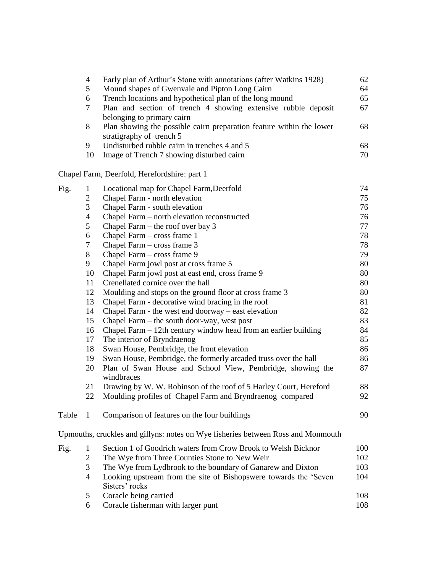|       | $\overline{4}$ | Early plan of Arthur's Stone with annotations (after Watkins 1928)                 | 62  |
|-------|----------------|------------------------------------------------------------------------------------|-----|
|       | 5              | Mound shapes of Gwenvale and Pipton Long Cairn                                     | 64  |
|       | 6              | Trench locations and hypothetical plan of the long mound                           | 65  |
|       | 7              | Plan and section of trench 4 showing extensive rubble deposit                      | 67  |
|       |                | belonging to primary cairn                                                         |     |
|       | 8              | Plan showing the possible cairn preparation feature within the lower               | 68  |
|       |                | stratigraphy of trench 5                                                           |     |
|       | 9              | Undisturbed rubble cairn in trenches 4 and 5                                       | 68  |
|       | 10             | Image of Trench 7 showing disturbed cairn                                          | 70  |
|       |                | Chapel Farm, Deerfold, Herefordshire: part 1                                       |     |
| Fig.  | 1              | Locational map for Chapel Farm, Deerfold                                           | 74  |
|       | 2              | Chapel Farm - north elevation                                                      | 75  |
|       | 3              | Chapel Farm - south elevation                                                      | 76  |
|       | 4              | Chapel Farm - north elevation reconstructed                                        | 76  |
|       | 5              | Chapel Farm $-$ the roof over bay 3                                                | 77  |
|       | 6              | Chapel Farm - cross frame 1                                                        | 78  |
|       | 7              | Chapel Farm - cross frame 3                                                        | 78  |
|       | 8              | Chapel Farm - cross frame 9                                                        | 79  |
|       | 9              | Chapel Farm jowl post at cross frame 5                                             | 80  |
|       | 10             | Chapel Farm jowl post at east end, cross frame 9                                   | 80  |
|       | 11             | Crenellated cornice over the hall                                                  | 80  |
|       | 12             | Moulding and stops on the ground floor at cross frame 3                            | 80  |
|       | 13             | Chapel Farm - decorative wind bracing in the roof                                  | 81  |
|       | 14             | Chapel Farm - the west end doorway – east elevation                                | 82  |
|       | 15             | Chapel Farm – the south door-way, west post                                        | 83  |
|       | 16             | Chapel Farm $-12$ th century window head from an earlier building                  | 84  |
|       | 17             | The interior of Bryndraenog                                                        | 85  |
|       | 18             | Swan House, Pembridge, the front elevation                                         | 86  |
|       | 19             | Swan House, Pembridge, the formerly arcaded truss over the hall                    | 86  |
|       | 20             | Plan of Swan House and School View, Pembridge, showing the<br>windbraces           | 87  |
|       | 21             | Drawing by W. W. Robinson of the roof of 5 Harley Court, Hereford                  | 88  |
|       | 22             | Moulding profiles of Chapel Farm and Bryndraenog compared                          | 92  |
| Table | 1              | Comparison of features on the four buildings                                       | 90  |
|       |                | Upmouths, cruckles and gillyns: notes on Wye fisheries between Ross and Monmouth   |     |
| Fig.  | 1              | Section 1 of Goodrich waters from Crow Brook to Welsh Bicknor                      | 100 |
|       | $\overline{c}$ | The Wye from Three Counties Stone to New Weir                                      | 102 |
|       | 3              | The Wye from Lydbrook to the boundary of Ganarew and Dixton                        | 103 |
|       | 4              | Looking upstream from the site of Bishopswere towards the 'Seven<br>Sisters' rocks | 104 |
|       | 5              | Coracle being carried                                                              | 108 |
|       |                |                                                                                    |     |

6 Coracle fisherman with larger punt 108